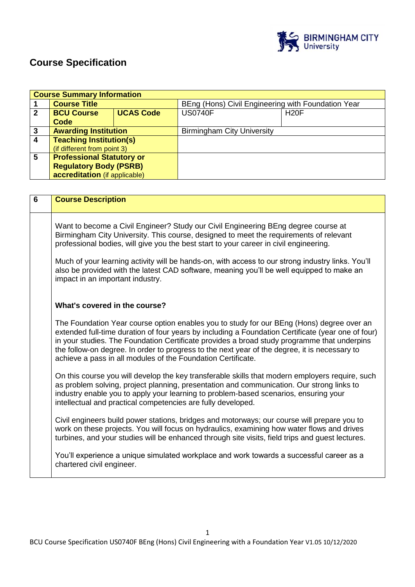

# **Course Specification**

|              | <b>Course Summary Information</b> |                  |                                                    |             |
|--------------|-----------------------------------|------------------|----------------------------------------------------|-------------|
|              | <b>Course Title</b>               |                  | BEng (Hons) Civil Engineering with Foundation Year |             |
| $\mathbf{2}$ | <b>BCU Course</b>                 | <b>UCAS Code</b> | <b>US0740F</b>                                     | <b>H20F</b> |
|              | Code                              |                  |                                                    |             |
| 3            | <b>Awarding Institution</b>       |                  | <b>Birmingham City University</b>                  |             |
| 4            | <b>Teaching Institution(s)</b>    |                  |                                                    |             |
|              | (if different from point 3)       |                  |                                                    |             |
| 5            | <b>Professional Statutory or</b>  |                  |                                                    |             |
|              | <b>Regulatory Body (PSRB)</b>     |                  |                                                    |             |
|              | accreditation (if applicable)     |                  |                                                    |             |

| $6\phantom{a}$ | <b>Course Description</b>                                                                                                                                                                                                                                                                                                                                                                                                                                                                                                                                                                                                                                                                                                                         |
|----------------|---------------------------------------------------------------------------------------------------------------------------------------------------------------------------------------------------------------------------------------------------------------------------------------------------------------------------------------------------------------------------------------------------------------------------------------------------------------------------------------------------------------------------------------------------------------------------------------------------------------------------------------------------------------------------------------------------------------------------------------------------|
|                | Want to become a Civil Engineer? Study our Civil Engineering BEng degree course at<br>Birmingham City University. This course, designed to meet the requirements of relevant<br>professional bodies, will give you the best start to your career in civil engineering.<br>Much of your learning activity will be hands-on, with access to our strong industry links. You'll<br>also be provided with the latest CAD software, meaning you'll be well equipped to make an<br>impact in an important industry.                                                                                                                                                                                                                                      |
|                | What's covered in the course?<br>The Foundation Year course option enables you to study for our BEng (Hons) degree over an<br>extended full-time duration of four years by including a Foundation Certificate (year one of four)<br>in your studies. The Foundation Certificate provides a broad study programme that underpins<br>the follow-on degree. In order to progress to the next year of the degree, it is necessary to<br>achieve a pass in all modules of the Foundation Certificate.                                                                                                                                                                                                                                                  |
|                | On this course you will develop the key transferable skills that modern employers require, such<br>as problem solving, project planning, presentation and communication. Our strong links to<br>industry enable you to apply your learning to problem-based scenarios, ensuring your<br>intellectual and practical competencies are fully developed.<br>Civil engineers build power stations, bridges and motorways; our course will prepare you to<br>work on these projects. You will focus on hydraulics, examining how water flows and drives<br>turbines, and your studies will be enhanced through site visits, field trips and guest lectures.<br>You'll experience a unique simulated workplace and work towards a successful career as a |
|                | chartered civil engineer.                                                                                                                                                                                                                                                                                                                                                                                                                                                                                                                                                                                                                                                                                                                         |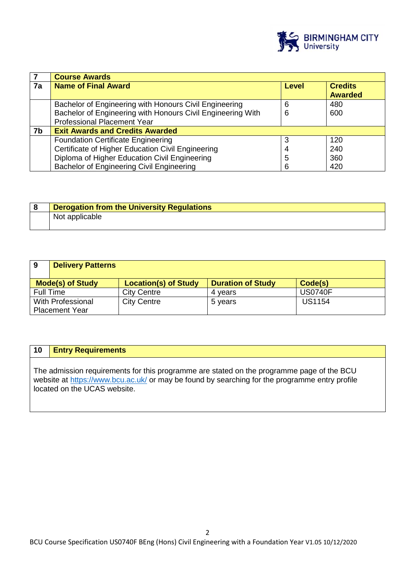

|    | <b>Course Awards</b>                                        |              |                                  |  |
|----|-------------------------------------------------------------|--------------|----------------------------------|--|
| 7a | <b>Name of Final Award</b>                                  | <b>Level</b> | <b>Credits</b><br><b>Awarded</b> |  |
|    | Bachelor of Engineering with Honours Civil Engineering      | 6            | 480                              |  |
|    | Bachelor of Engineering with Honours Civil Engineering With | 6            | 600                              |  |
|    | <b>Professional Placement Year</b>                          |              |                                  |  |
| 7b | <b>Exit Awards and Credits Awarded</b>                      |              |                                  |  |
|    | <b>Foundation Certificate Engineering</b>                   |              | 120                              |  |
|    | Certificate of Higher Education Civil Engineering           |              | 240                              |  |
|    | Diploma of Higher Education Civil Engineering               | 5            | 360                              |  |
|    | <b>Bachelor of Engineering Civil Engineering</b>            | 6            | 420                              |  |

| <b>Derogation from the University Regulations</b> |
|---------------------------------------------------|
| Not applicable                                    |

| -9                    | <b>Delivery Patterns</b> |                             |                          |                |
|-----------------------|--------------------------|-----------------------------|--------------------------|----------------|
|                       | <b>Mode(s) of Study</b>  | <b>Location(s) of Study</b> | <b>Duration of Study</b> | Code(s)        |
| Full Time             |                          | <b>City Centre</b>          | 4 vears                  | <b>US0740F</b> |
| With Professional     |                          | <b>City Centre</b>          | 5 years                  | <b>US1154</b>  |
| <b>Placement Year</b> |                          |                             |                          |                |

## **10 Entry Requirements**

The admission requirements for this programme are stated on the programme page of the BCU website at<https://www.bcu.ac.uk/> or may be found by searching for the programme entry profile located on the UCAS website.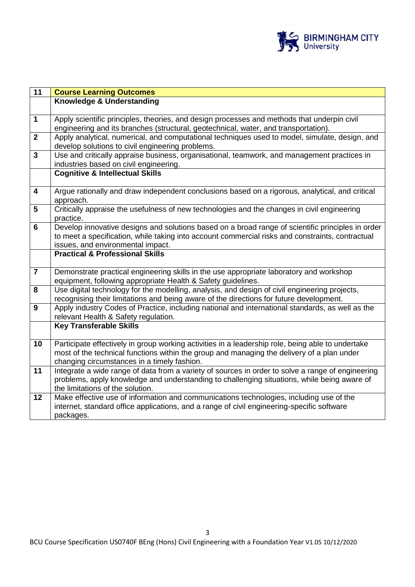

| 11                      | <b>Course Learning Outcomes</b>                                                                                                                                                       |
|-------------------------|---------------------------------------------------------------------------------------------------------------------------------------------------------------------------------------|
|                         | Knowledge & Understanding                                                                                                                                                             |
|                         |                                                                                                                                                                                       |
| $\mathbf 1$             | Apply scientific principles, theories, and design processes and methods that underpin civil                                                                                           |
|                         | engineering and its branches (structural, geotechnical, water, and transportation).                                                                                                   |
| $\overline{\mathbf{2}}$ | Apply analytical, numerical, and computational techniques used to model, simulate, design, and                                                                                        |
|                         | develop solutions to civil engineering problems.                                                                                                                                      |
| 3                       | Use and critically appraise business, organisational, teamwork, and management practices in                                                                                           |
|                         | industries based on civil engineering.                                                                                                                                                |
|                         | <b>Cognitive &amp; Intellectual Skills</b>                                                                                                                                            |
| $\overline{\mathbf{4}}$ | Argue rationally and draw independent conclusions based on a rigorous, analytical, and critical                                                                                       |
|                         | approach.                                                                                                                                                                             |
| 5                       | Critically appraise the usefulness of new technologies and the changes in civil engineering                                                                                           |
|                         | practice.                                                                                                                                                                             |
| 6                       | Develop innovative designs and solutions based on a broad range of scientific principles in order                                                                                     |
|                         | to meet a specification, while taking into account commercial risks and constraints, contractual                                                                                      |
|                         | issues, and environmental impact.                                                                                                                                                     |
|                         | <b>Practical &amp; Professional Skills</b>                                                                                                                                            |
| $\overline{7}$          | Demonstrate practical engineering skills in the use appropriate laboratory and workshop                                                                                               |
|                         | equipment, following appropriate Health & Safety guidelines.                                                                                                                          |
| 8                       | Use digital technology for the modelling, analysis, and design of civil engineering projects,                                                                                         |
|                         | recognising their limitations and being aware of the directions for future development.                                                                                               |
| 9                       | Apply industry Codes of Practice, including national and international standards, as well as the                                                                                      |
|                         | relevant Health & Safety regulation.                                                                                                                                                  |
|                         | <b>Key Transferable Skills</b>                                                                                                                                                        |
|                         |                                                                                                                                                                                       |
| 10                      | Participate effectively in group working activities in a leadership role, being able to undertake                                                                                     |
|                         | most of the technical functions within the group and managing the delivery of a plan under                                                                                            |
|                         | changing circumstances in a timely fashion.                                                                                                                                           |
| 11                      | Integrate a wide range of data from a variety of sources in order to solve a range of engineering                                                                                     |
|                         | problems, apply knowledge and understanding to challenging situations, while being aware of                                                                                           |
|                         | the limitations of the solution.                                                                                                                                                      |
| 12                      | Make effective use of information and communications technologies, including use of the<br>internet, standard office applications, and a range of civil engineering-specific software |
|                         | packages.                                                                                                                                                                             |
|                         |                                                                                                                                                                                       |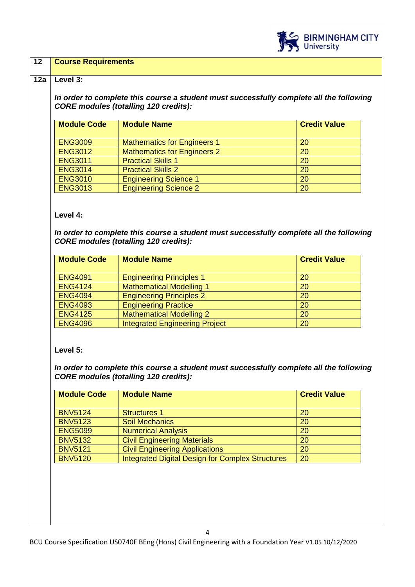

#### **12 Course Requirements**

#### **12a Level 3:**

*In order to complete this course a student must successfully complete all the following CORE modules (totalling 120 credits):*

| <b>Module Code</b> | <b>Module Name</b>                 | <b>Credit Value</b> |
|--------------------|------------------------------------|---------------------|
| <b>ENG3009</b>     | <b>Mathematics for Engineers 1</b> | <b>20</b>           |
| <b>ENG3012</b>     | <b>Mathematics for Engineers 2</b> | 20                  |
| <b>ENG3011</b>     | <b>Practical Skills 1</b>          | <b>20</b>           |
| <b>ENG3014</b>     | <b>Practical Skills 2</b>          | 20                  |
| <b>ENG3010</b>     | <b>Engineering Science 1</b>       | 20                  |
| <b>ENG3013</b>     | <b>Engineering Science 2</b>       | 20                  |

**Level 4:**

*In order to complete this course a student must successfully complete all the following CORE modules (totalling 120 credits):*

| <b>Module Code</b> | <b>Module Name</b>                    | <b>Credit Value</b> |
|--------------------|---------------------------------------|---------------------|
| <b>ENG4091</b>     | <b>Engineering Principles 1</b>       | 20                  |
| <b>ENG4124</b>     | <b>Mathematical Modelling 1</b>       | 20                  |
| <b>ENG4094</b>     | <b>Engineering Principles 2</b>       | 20                  |
| <b>ENG4093</b>     | <b>Engineering Practice</b>           | 20                  |
| <b>ENG4125</b>     | <b>Mathematical Modelling 2</b>       | 20                  |
| <b>ENG4096</b>     | <b>Integrated Engineering Project</b> | 20                  |

**Level 5:**

*In order to complete this course a student must successfully complete all the following CORE modules (totalling 120 credits):*

| <b>Module Code</b> | <b>Module Name</b>                                      | <b>Credit Value</b> |
|--------------------|---------------------------------------------------------|---------------------|
| <b>BNV5124</b>     | <b>Structures 1</b>                                     | 20                  |
| <b>BNV5123</b>     | <b>Soil Mechanics</b>                                   | 20                  |
| <b>ENG5099</b>     | <b>Numerical Analysis</b>                               | 20                  |
| <b>BNV5132</b>     | <b>Civil Engineering Materials</b>                      | 20                  |
| <b>BNV5121</b>     | <b>Civil Engineering Applications</b>                   | 20                  |
| <b>BNV5120</b>     | <b>Integrated Digital Design for Complex Structures</b> | 20                  |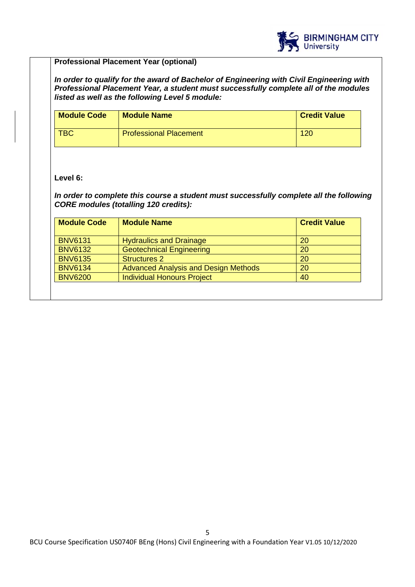

## **Professional Placement Year (optional)**

*In order to qualify for the award of Bachelor of Engineering with Civil Engineering with Professional Placement Year, a student must successfully complete all of the modules listed as well as the following Level 5 module:*

| <b>Module Code</b> | <b>Module Name</b>            | <b>Credit Value</b> |
|--------------------|-------------------------------|---------------------|
| <b>TBC</b>         | <b>Professional Placement</b> | 120                 |

## **Level 6:**

*In order to complete this course a student must successfully complete all the following CORE modules (totalling 120 credits):*

| <b>Module Code</b> | <b>Module Name</b>                          | <b>Credit Value</b> |
|--------------------|---------------------------------------------|---------------------|
| <b>BNV6131</b>     | <b>Hydraulics and Drainage</b>              | 20                  |
| <b>BNV6132</b>     | <b>Geotechnical Engineering</b>             | 20                  |
| <b>BNV6135</b>     | <b>Structures 2</b>                         | 20                  |
| <b>BNV6134</b>     | <b>Advanced Analysis and Design Methods</b> | 20                  |
| <b>BNV6200</b>     | <b>Individual Honours Project</b>           | 40                  |
|                    |                                             |                     |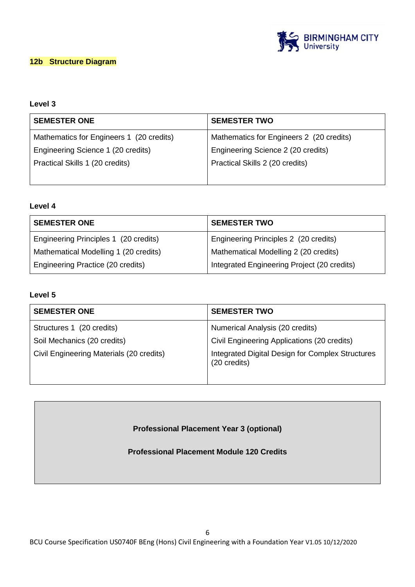

## **12b Structure Diagram**

## **Level 3**

| <b>SEMESTER ONE</b>                      | <b>SEMESTER TWO</b>                      |  |
|------------------------------------------|------------------------------------------|--|
| Mathematics for Engineers 1 (20 credits) | Mathematics for Engineers 2 (20 credits) |  |
| Engineering Science 1 (20 credits)       | Engineering Science 2 (20 credits)       |  |
| Practical Skills 1 (20 credits)          | Practical Skills 2 (20 credits)          |  |
|                                          |                                          |  |

#### **Level 4**

| <b>SEMESTER ONE</b>                   | <b>SEMESTER TWO</b>                         |
|---------------------------------------|---------------------------------------------|
| Engineering Principles 1 (20 credits) | Engineering Principles 2 (20 credits)       |
| Mathematical Modelling 1 (20 credits) | Mathematical Modelling 2 (20 credits)       |
| Engineering Practice (20 credits)     | Integrated Engineering Project (20 credits) |

## **Level 5**

| <b>SEMESTER ONE</b>                      | <b>SEMESTER TWO</b>                                              |
|------------------------------------------|------------------------------------------------------------------|
| Structures 1 (20 credits)                | Numerical Analysis (20 credits)                                  |
| Soil Mechanics (20 credits)              | Civil Engineering Applications (20 credits)                      |
| Civil Engineering Materials (20 credits) | Integrated Digital Design for Complex Structures<br>(20 credits) |

**Professional Placement Year 3 (optional)**

**Professional Placement Module 120 Credits**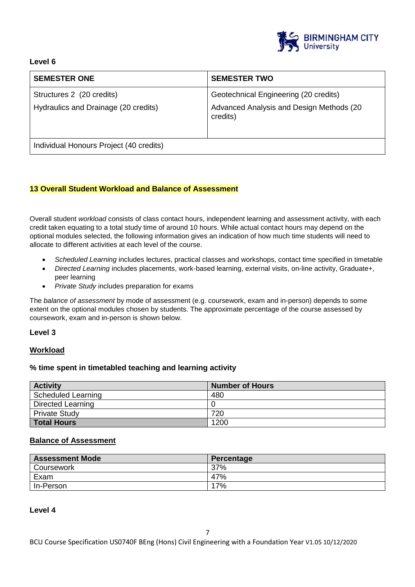

## **Level 6**

| <b>SEMESTER ONE</b>                     | <b>SEMESTER TWO</b>                                  |
|-----------------------------------------|------------------------------------------------------|
| Structures 2 (20 credits)               | Geotechnical Engineering (20 credits)                |
| Hydraulics and Drainage (20 credits)    | Advanced Analysis and Design Methods (20<br>credits) |
| Individual Honours Project (40 credits) |                                                      |

## **13 Overall Student Workload and Balance of Assessment**

Overall student *workload* consists of class contact hours, independent learning and assessment activity, with each credit taken equating to a total study time of around 10 hours. While actual contact hours may depend on the optional modules selected, the following information gives an indication of how much time students will need to allocate to different activities at each level of the course.

- *Scheduled Learning* includes lectures, practical classes and workshops, contact time specified in timetable
- *Directed Learning* includes placements, work-based learning, external visits, on-line activity, Graduate+, peer learning
- *Private Study* includes preparation for exams

The *balance of assessment* by mode of assessment (e.g. coursework, exam and in-person) depends to some extent on the optional modules chosen by students. The approximate percentage of the course assessed by coursework, exam and in-person is shown below.

#### **Level 3**

## **Workload**

#### **% time spent in timetabled teaching and learning activity**

| <b>Activity</b>      | <b>Number of Hours</b> |
|----------------------|------------------------|
| Scheduled Learning   | 480                    |
| Directed Learning    |                        |
| <b>Private Study</b> | 720                    |
| <b>Total Hours</b>   | 1200                   |

## **Balance of Assessment**

| <b>Assessment Mode</b> | Percentage |
|------------------------|------------|
| Coursework             | 37%        |
| Exam                   | 47%        |
| In-Person              | 17%        |

#### **Level 4**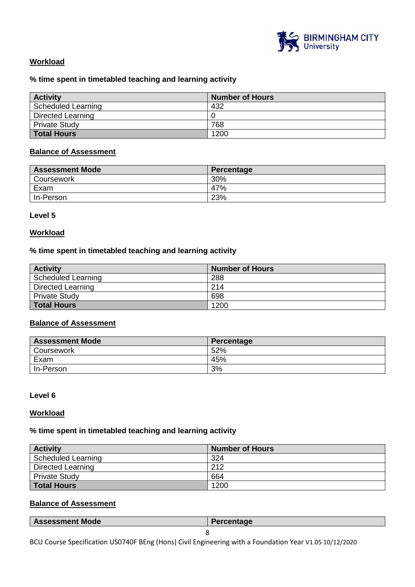

## **Workload**

#### **% time spent in timetabled teaching and learning activity**

| <b>Activity</b>      | <b>Number of Hours</b> |
|----------------------|------------------------|
| Scheduled Learning   | 432                    |
| Directed Learning    |                        |
| <b>Private Study</b> | 768                    |
| <b>Total Hours</b>   | 1200                   |

## **Balance of Assessment**

| <b>Assessment Mode</b> | Percentage |
|------------------------|------------|
| Coursework             | 30%        |
| Exam                   | 47%        |
| In-Person              | 23%        |

#### **Level 5**

#### **Workload**

#### **% time spent in timetabled teaching and learning activity**

| <b>Activity</b>          | <b>Number of Hours</b> |
|--------------------------|------------------------|
| Scheduled Learning       | 288                    |
| <b>Directed Learning</b> | 214                    |
| <b>Private Study</b>     | 698                    |
| <b>Total Hours</b>       | 1200                   |

## **Balance of Assessment**

| <b>Assessment Mode</b> | Percentage |
|------------------------|------------|
| Coursework             | 52%        |
| Exam                   | 45%        |
| In-Person              | 3%         |

#### **Level 6**

#### **Workload**

#### **% time spent in timetabled teaching and learning activity**

| <b>Activity</b>          | <b>Number of Hours</b> |
|--------------------------|------------------------|
| Scheduled Learning       | 324                    |
| <b>Directed Learning</b> | 212                    |
| <b>Private Study</b>     | 664                    |
| <b>Total Hours</b>       | 1200                   |

## **Balance of Assessment**

| <b>Assessment Mode</b> | Percentage |
|------------------------|------------|
|                        |            |

BCU Course Specification US0740F BEng (Hons) Civil Engineering with a Foundation Year V1.05 10/12/2020